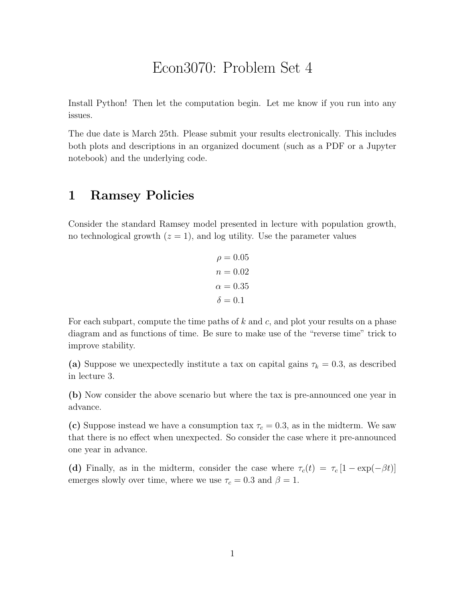## Econ3070: Problem Set 4

Install Python! Then let the computation begin. Let me know if you run into any issues.

The due date is March 25th. Please submit your results electronically. This includes both plots and descriptions in an organized document (such as a PDF or a Jupyter notebook) and the underlying code.

## 1 Ramsey Policies

Consider the standard Ramsey model presented in lecture with population growth, no technological growth  $(z = 1)$ , and log utility. Use the parameter values

> $\rho = 0.05$  $n = 0.02$  $\alpha = 0.35$  $\delta = 0.1$

For each subpart, compute the time paths of  $k$  and  $c$ , and plot your results on a phase diagram and as functions of time. Be sure to make use of the "reverse time" trick to improve stability.

(a) Suppose we unexpectedly institute a tax on capital gains  $\tau_k = 0.3$ , as described in lecture 3.

(b) Now consider the above scenario but where the tax is pre-announced one year in advance.

(c) Suppose instead we have a consumption tax  $\tau_c = 0.3$ , as in the midterm. We saw that there is no effect when unexpected. So consider the case where it pre-announced one year in advance.

(d) Finally, as in the midterm, consider the case where  $\tau_c(t) = \tau_c [1 - \exp(-\beta t)]$ emerges slowly over time, where we use  $\tau_c = 0.3$  and  $\beta = 1$ .